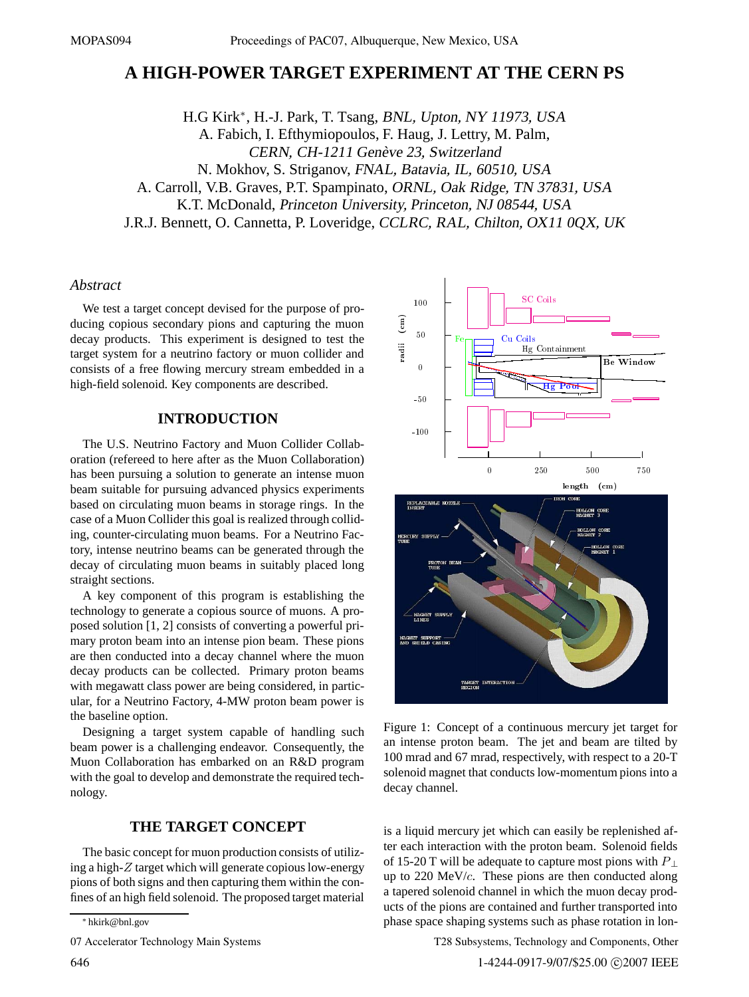# **A HIGH-POWER TARGET EXPERIMENT AT THE CERN PS**

H.G Kirk∗, H.-J. Park, T. Tsang, BNL, Upton, NY 11973, USA A. Fabich, I. Efthymiopoulos, F. Haug, J. Lettry, M. Palm, CERN, CH-1211 Genève 23, Switzerland N. Mokhov, S. Striganov, FNAL, Batavia, IL, 60510, USA A. Carroll, V.B. Graves, P.T. Spampinato, ORNL, Oak Ridge, TN 37831, USA K.T. McDonald, Princeton University, Princeton, NJ 08544, USA J.R.J. Bennett, O. Cannetta, P. Loveridge, CCLRC, RAL, Chilton, OX11 0QX, UK

## *Abstract*

We test a target concept devised for the purpose of producing copious secondary pions and capturing the muon decay products. This experiment is designed to test the target system for a neutrino factory or muon collider and consists of a free flowing mercury stream embedded in a high-field solenoid. Key components are described.

## **INTRODUCTION**

The U.S. Neutrino Factory and Muon Collider Collaboration (refereed to here after as the Muon Collaboration) has been pursuing a solution to generate an intense muon beam suitable for pursuing advanced physics experiments based on circulating muon beams in storage rings. In the case of a Muon Collider this goal is realized through colliding, counter-circulating muon beams. For a Neutrino Factory, intense neutrino beams can be generated through the decay of circulating muon beams in suitably placed long straight sections.

A key component of this program is establishing the technology to generate a copious source of muons. A proposed solution [1, 2] consists of converting a powerful primary proton beam into an intense pion beam. These pions are then conducted into a decay channel where the muon decay products can be collected. Primary proton beams with megawatt class power are being considered, in particular, for a Neutrino Factory, 4-MW proton beam power is the baseline option.

Designing a target system capable of handling such beam power is a challenging endeavor. Consequently, the Muon Collaboration has embarked on an R&D program with the goal to develop and demonstrate the required technology.

## **THE TARGET CONCEPT**

The basic concept for muon production consists of utilizing a high-*Z* target which will generate copious low-energy pions of both signs and then capturing them within the confines of an high field solenoid. The proposed target material

07 Accelerator Technology Main Systems



Figure 1: Concept of a continuous mercury jet target for an intense proton beam. The jet and beam are tilted by 100 mrad and 67 mrad, respectively, with respect to a 20-T solenoid magnet that conducts low-momentum pions into a decay channel.

is a liquid mercury jet which can easily be replenished after each interaction with the proton beam. Solenoid fields of 15-20 T will be adequate to capture most pions with *P* <sup>⊥</sup> up to 220 MeV/*c*. These pions are then conducted along a tapered solenoid channel in which the muon decay products of the pions are contained and further transported into phase space shaping systems such as phase rotation in lon-

T28 Subsystems, Technology and Components, Other

<sup>∗</sup> hkirk@bnl.gov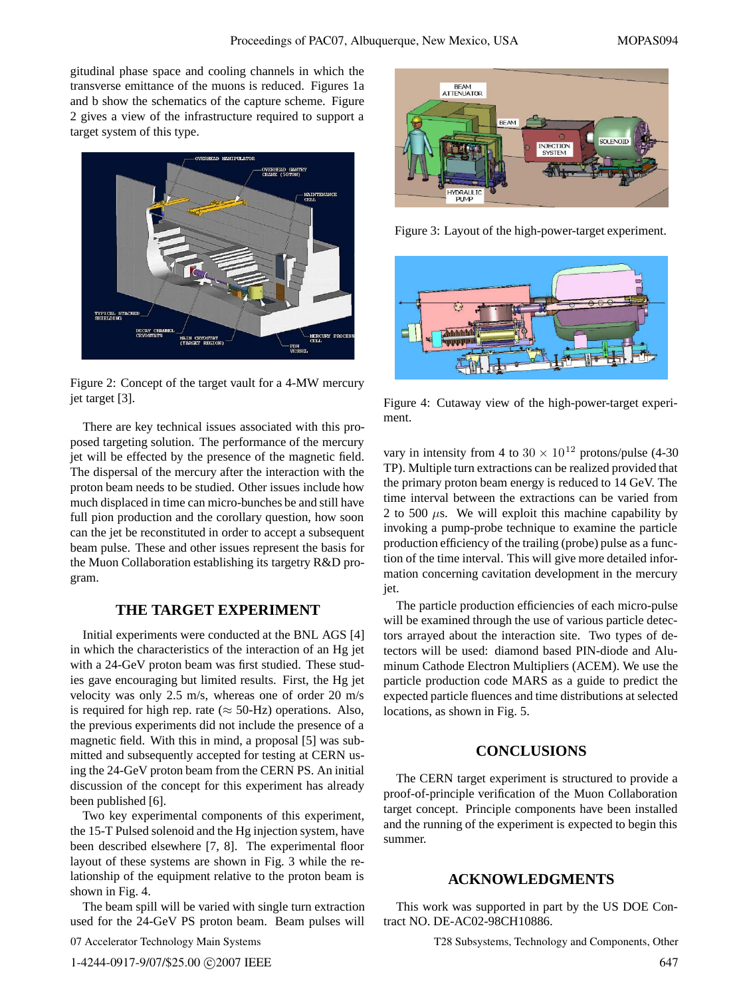gitudinal phase space and cooling channels in which the transverse emittance of the muons is reduced. Figures 1a and b show the schematics of the capture scheme. Figure 2 gives a view of the infrastructure required to support a target system of this type.



Figure 2: Concept of the target vault for a 4-MW mercury jet target [3].

There are key technical issues associated with this proposed targeting solution. The performance of the mercury jet will be effected by the presence of the magnetic field. The dispersal of the mercury after the interaction with the proton beam needs to be studied. Other issues include how much displaced in time can micro-bunches be and still have full pion production and the corollary question, how soon can the jet be reconstituted in order to accept a subsequent beam pulse. These and other issues represent the basis for the Muon Collaboration establishing its targetry R&D program.

### **THE TARGET EXPERIMENT**

Initial experiments were conducted at the BNL AGS [4] in which the characteristics of the interaction of an Hg jet with a 24-GeV proton beam was first studied. These studies gave encouraging but limited results. First, the Hg jet velocity was only 2.5 m/s, whereas one of order 20 m/s is required for high rep. rate ( $\approx$  50-Hz) operations. Also, the previous experiments did not include the presence of a magnetic field. With this in mind, a proposal [5] was submitted and subsequently accepted for testing at CERN using the 24-GeV proton beam from the CERN PS. An initial discussion of the concept for this experiment has already been published [6].

Two key experimental components of this experiment, the 15-T Pulsed solenoid and the Hg injection system, have been described elsewhere [7, 8]. The experimental floor layout of these systems are shown in Fig. 3 while the relationship of the equipment relative to the proton beam is shown in Fig. 4.

The beam spill will be varied with single turn extraction used for the 24-GeV PS proton beam. Beam pulses will

```
07 Accelerator Technology Main Systems
```


Figure 3: Layout of the high-power-target experiment.



Figure 4: Cutaway view of the high-power-target experiment.

vary in intensity from 4 to  $30 \times 10^{12}$  protons/pulse (4-30 TP). Multiple turn extractions can be realized provided that the primary proton beam energy is reduced to 14 GeV. The time interval between the extractions can be varied from 2 to 500  $\mu$ s. We will exploit this machine capability by invoking a pump-probe technique to examine the particle production efficiency of the trailing (probe) pulse as a function of the time interval. This will give more detailed information concerning cavitation development in the mercury jet.

The particle production efficiencies of each micro-pulse will be examined through the use of various particle detectors arrayed about the interaction site. Two types of detectors will be used: diamond based PIN-diode and Aluminum Cathode Electron Multipliers (ACEM). We use the particle production code MARS as a guide to predict the expected particle fluences and time distributions at selected locations, as shown in Fig. 5.

## **CONCLUSIONS**

The CERN target experiment is structured to provide a proof-of-principle verification of the Muon Collaboration target concept. Principle components have been installed and the running of the experiment is expected to begin this summer.

#### **ACKNOWLEDGMENTS**

This work was supported in part by the US DOE Contract NO. DE-AC02-98CH10886.

T28 Subsystems, Technology and Components, Other